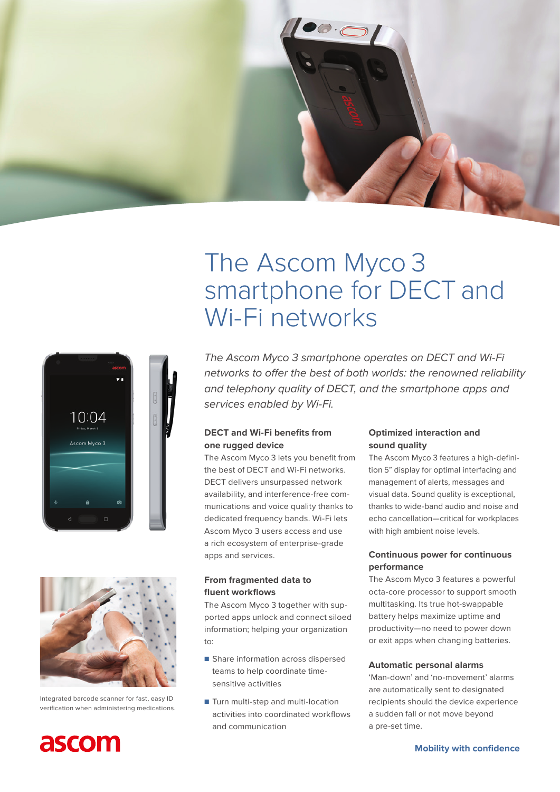

# The Ascom Myco 3 smartphone for DECT and Wi-Fi networks







Integrated barcode scanner for fast, easy ID verification when administering medications.



*The Ascom Myco 3 smartphone operates on DECT and Wi-Fi*  networks to offer the best of both worlds: the renowned reliability and telephony quality of DECT, and the smartphone apps and services enabled by Wi-Fi.

# **DECT and Wi-Fi benefits from one rugged device**

The Ascom Myco 3 lets you benefit from the best of DECT and Wi-Fi networks. DECT delivers unsurpassed network availability, and interference-free communications and voice quality thanks to dedicated frequency bands. Wi-Fi lets Ascom Myco 3 users access and use a rich ecosystem of enterprise-grade apps and services.

# **From fragmented data to fluent workflows**

The Ascom Myco 3 together with supported apps unlock and connect siloed information; helping your organization to:

- Share information across dispersed teams to help coordinate timesensitive activities
- Turn multi-step and multi-location activities into coordinated workflows and communication

# **Optimized interaction and sound quality**

The Ascom Myco 3 features a high-definition 5" display for optimal interfacing and management of alerts, messages and visual data. Sound quality is exceptional, thanks to wide-band audio and noise and echo cancellation—critical for workplaces with high ambient noise levels.

### **Continuous power for continuous performance**

The Ascom Myco 3 features a powerful octa-core processor to support smooth multitasking. Its true hot-swappable battery helps maximize uptime and productivity—no need to power down or exit apps when changing batteries.

#### **Automatic personal alarms**

'Man-down' and 'no-movement' alarms are automatically sent to designated recipients should the device experience a sudden fall or not move beyond a pre-set time.